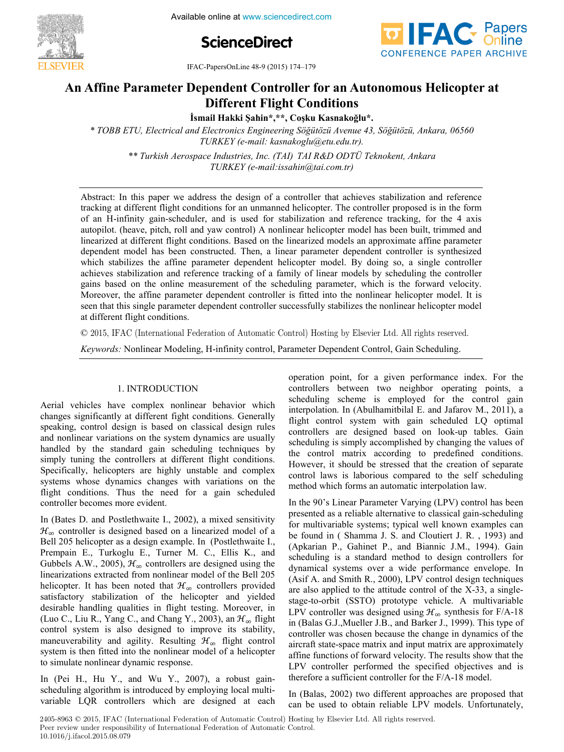

**ScienceDirect**



IFAC-PapersOnLine 48-9 (2015) 174–179

#### **An Affine Parameter Dependent Controller for an Autonomous Helicopter at An Affine Parameter Dependent Controller for an Autonomous Helicopter at**  An Affine Parameter Dependent Controller for an Autonomous Helicopter at **Different Flight Conditions An Affine Parameter Dependent Controller for an Autonomous Helicopter at Different Flight Conditions**

**Different Flight Conditions İsmail Hakki Şahin\*,\*\*, Coşku Kasnakoğlu\*. İsmail Hakki Şahin\*,\*\*, Coşku Kasnakoğlu\*.** 

\* TOBB ETU, Electrical and Electronics Engineering Söğütözü Avenue 43, Söğütözü, Ankara, 06560 *\* TOBB ETU, Electrical and Electronics Engineering Söğütözü Avenue 43, Söğütözü, Ankara, 06560*  \*\* Turkish Aerospace Industries, Inc. (TAI) TAI R&D ODTÜ Teknokent, Ankara *TURKEY (e-mail: kasnakoglu@etu.edu.tr). \* TOBB ETU, Electrical and Electronics Engineering Söğütözü Avenue 43, Söğütözü, Ankara, 06560 TURKEY (e-mail: kasnakoglu@etu.edu.tr).*

*\*\* Turkish Aerospace Industries, Inc. (TAI) TAI R&D ODTÜ Teknokent, Ankara TURKEY (e-mail:issahin@tai.com.tr) \*\* Turkish Aerospace Industries, Inc. (TAI) TAI R&D ODTÜ Teknokent, Ankara TURKEY (e-mail:issahin@tai.com.tr)*

*TURKEY (e-mail:issahin@tai.com.tr)*

of an H-infinity gain-scheduler, and is used for stabilization and reference tracking, for the 4 axis autopilot. (heave, pitch, roll and yaw control) A nonlinear helicopter model has been built, trimmed and autopilot. linearized at different flight conditions. Based on the linearized models an approximate affine parameter dependent model has been constructed. Then, a linear parameter dependent controller is synthesized which stabilizes the affine parameter dependent helicopter model. By doing so, a single controller achieves stabilization and reference tracking of a family of linear models by scheduling the controller gains based on the online measurement of the scheduling parameter, which is the forward velocity. Moreover, the affine parameter dependent controller is fitted into the nonlinear helicopter model. It is seen that this single parameter dependent controller successfully stabilizes the nonlinear helicopter model at different flight conditions. seen that the this single parameter successfully stabilizes the non-linear helicopter model in non-Abstract: In this paper we address the design of a controller that achieves stabilization and reference Abstract: In this paper we address the design of a controller that achieves stabilization and reference tracking at different flight conditions for an unmanned helicopter. The controller proposed is in the form tracking at different flight conditions for an unmanned helicopter. The controller proposed is in the form tracking at different flight conditions for an unmanned helicopter. The controller proposed is in the form<br>of an H-infinity gain-scheduler, and is used for stabilization and reference tracking, for the 4 axis<br>autopilot. (h achieves stabilization and reference tracking of a family of linear models by scheduling the controller<br>gains based on the online measurement of the scheduling parameter, which is the forward velocity.<br>Moreover, the affine autopilot. (heave, pitch, roll and yaw control) A nonlinear helicopter model has been built, trimmed and gains based on the online measurement of the scheduling parameter, which is the forward velocity.

© 2015, IFAC (International Federation of Automatic Control) Hosting by Elsevier Ltd. All rights reserved.

*Keywords:* Nonlinear Modeling, H-infinity control, Parameter Dependent Control, Gain Scheduling. *Keywords:* Nonlinear Modeling, H-infinity control, Parameter Dependent Control, Gain Scheduling.

#### 1. INTRODUCTION 1. INTRODUCTION

Aerial vehicles have complex nonlinear behavior which changes significantly at different fight conditions. Generally enanges significantly at unferent right conditions. Generally speaking, control design is based on classical design rules and nonlinear variations on the system dynamics are usually  $\frac{1}{2}$ handled by the standard gain scheduling techniques by handled by the standard gain scheduling techniques by mandred by the standard gain scheduling techniques by simply tuning the controllers at different flight conditions. simply tuning the controllers at unferent right conditions.<br>Specifically, helicopters are highly unstable and complex systems whose dynamics changes with variations on the systems whose dynamics changes with variations on the systems whose uynamics changes with variations on the flight conditions. Thus the need for a gain scheduled controller becomes more evident.  $R$ char venicles have complex nominear behavior which  $h_{\text{ref}}$  speaking, control design is based on classical design fulles Aerial vehicles have complex nonlinear behavior which<br>changes significantly at different fight conditions. Generally<br>speaking, control design is based on classical design rules<br>and nonlinear variations on the system dynami  $\frac{1}{2}$  controller becomes more evident. Aerial vehicles have complex poplinear behavior which and get a gain value of the system of the system of the system of the system of the system of the system of the system of the system of the system of the system of the system of the system of the system of the system of th speaking, control design is cased on classical design rates cystems whose cynamics enarge

In (Bates D. and Postlethwaite I., 2002), a mixed sensitivity  $H_{\infty}$  controller is designed based on a linearized model of a<br> $H_{\infty}$  controller is designed based on a linearized model of a bell 205 helicopter as a design example. In (Postlethwaite I., Bell 200 hencopier as a designexample. In (Fostetuwaller), Prempain E., Turkoglu E., Turner M. C., Ellis K., and Gubbels A.W., 2005),  $\mathcal{H}_{\infty}$  controllers are designed using the Gubbers A. w., 2005),  $\pi_{\infty}$  controllers are designed using the<br>linearizations extracted from nonlinear model of the Bell 205<br>helicopter. It has been noted that  $\mathcal{H}_{\infty}$  controllers provided mearizations extracted from noninear moder of the Ben 200<br>helicopter. It has been noted that  $\mathcal{H}_{\infty}$  controllers provided  $\alpha$  is the more than  $\alpha$  of the helicopter and yielded satisfactory stabilization of the helicopter and yielded Sausractory stabilization of the hencopter and yielded<br>desirable handling qualities in flight testing. Moreover, in desirable nanding quanties in fight testing. Moreover, in (Luo C., Liu R., Yang C., and Chang Y., 2003), an  $\mathcal{H}_{\infty}$  flight (Luo C., Lu K., Tang C., and Chang T., 2005), an  $\pi_{\infty}$  inght<br>control system is also designed to improve its stability,<br>maneuverability and agility. Resulting  $\mathcal{H}_{\infty}$  flight control control system is also designed to improve its stability, maneuverability and agility. Resulting  $\mathcal{H}_{\infty}$  flight control system is then fitted into the nonlinear model of a helicopter to simulate nonlinear dynamic response.  $B_s$  and  $B_s$  and  $B_s$  is a design example. In  $\frac{2002}{3}$ , a mixed scustivity Ben 200 nencopier as a design example. In (Fostetuwalte 1., Prempain E., Turkoglu E., Turner M. C., Ellis K., and<br>Gubbels A.W. 2005)  $H$  controllers are designed using the control system is also designed to the theoretical desirable handling qualities in flight testing. Moreover, in  $\frac{1}{2}$  inductive about  $\frac{1}{2}$  and  $\frac{1}{2}$  aginty. Resulting In (Bates D. and Postlethwaite I., 2002), a mixed sensitivity  $d_{\text{rel}}$  and  $d_{\text{rel}}$  in flight testing. Moreover, in flight testing. Moreover, in flight testing. Moreover, in  $d_{\text{rel}}$  $\frac{d}{dt}$  desirable handling testing testing. Moreover,  $\frac{d}{dt}$  the haliconter, and vialded send of system is the designed to improve the stating, maneuverteeming and aginty. researing

In (Pei H., Hu Y., and Wu Y., 2007), a robust gainscheduling algorithm is introduced by employing local multivariable LQR controllers which are designed at each If  $\begin{bmatrix} 1 & 0 \\ 1 & 0 \end{bmatrix}$  is the L<sub>3</sub> diagnosis which are designed at the second spin level with  $\begin{bmatrix} 1 & 0 \\ 0 & 1 \end{bmatrix}$ I. (P. H.H. V.,  $1$  W.V. 2007), a robust gainer  $\overline{P}$  $\frac{1}{2}$  in (FeI H, find it, allement introduced by  $\frac{1}{2}$  multi-In  $\pi$  (Pei H Hu V and Wu V 2007) a robust gain  $\frac{1}{2}$  and  $\frac{1}{2}$  are  $\frac{1}{2}$  are  $\frac{1}{2}$  and  $\frac{1}{2}$  are designed at  $\frac{1}{2}$  and  $\frac{1}{2}$  are designed at each  $\frac{1}{2}$  and  $\frac{1}{2}$  and  $\frac{1}{2}$  are designed at  $\frac{1}{2}$  and  $\frac{1}{2}$  are designed at operation point, for a given performance index. For the controllers between two neighbor operating points, a controllers between two herghoof operating points, a scheduling scheme is employed for the control gain scheduling scheme is employed for the control gain interpolation. In (Abulhamitbilal E. and Jafarov M., 2011), a merpolation: in (roumannonial E. and schared based on looking), a flight control system with gain scheduled LQ optimal mgin controllers are designed based on look-up tables. Gain controllers are designed based on look-up tables. Gain scheduling is simply accomplished by changing the values of the variate stressed that the creation of separate of separate stressed that the creation of separate stressed that the creation of separate stressed that the cre the control matrix according to predefined conditions. the control matrix according to predefined conditions.<br>However, it should be stressed that the creation of separate riowever, it should be subsect that the creation of separate control laws is laborious compared to the self scheduling method which forms an automatic interpolation law. operation point, for a given performance mues. For the  $\alpha$  is the designed based on look-up tables. Gained based on look-up tables. Gained based on  $\alpha$  $\frac{1}{1}$  matrix and designed based on look-up tables. Of the predefinition of  $\frac{1}{1}$  matrix  $\frac{1}{1}$  matrix  $\frac{1}{1}$  matrix  $\frac{1}{1}$  matrix  $\frac{1}{1}$  matrix  $\frac{1}{1}$  matrix  $\frac{1}{1}$  matrix  $\frac{1}{1}$  matrix  $\frac{1}{$ operation point, for a given performance index. For the controllers between two neighbor operating points, a scheduling scheme is employed for the control gain interpolation. In (Abulhamitbilal E. and Jafarov M., 2011), a  $\frac{1}{1}$  c  $\frac{1}{1}$  c  $\frac{1}{1}$  c  $\frac{1}{1}$  c  $\frac{1}{1}$  c  $\frac{1}{1}$  c  $\frac{1}{1}$  c  $\frac{1}{1}$  c  $\frac{1}{1}$  c  $\frac{1}{1}$  c  $\frac{1}{1}$  c  $\frac{1}{1}$  c  $\frac{1}{1}$  c  $\frac{1}{1}$  c  $\frac{1}{1}$  c  $\frac{1}{1}$  c  $\frac{1}{1}$  c  $\frac{1}{1}$  c  $\frac{1$  $\alpha$  controllers between two neighbor operation to  $\alpha$  operation  $\alpha$  operation  $\alpha$  $\frac{1}{2}$  function in  $\frac{1}{2}$  control sum internalstian In  $\frac{1}{2}$  and  $\frac{1}{2}$  optimal  $\frac{1}{2}$  optimal  $\frac{1}{2}$  and  $\frac{1}{2}$  and  $\frac{1}{2}$  and  $\frac{1}{2}$  and  $\frac{1}{2}$  and  $\frac{1}{2}$  and  $\frac{1}{2}$  and  $\frac{1}{2}$  an scheduler system with gain seneduled Eq optimal controlled me acceptive cases on from approaches. Sum mowever, it should be subsequently the countries.

operation point, for a given performance index. For the

operation point, for a given performance index. For the

In the 90's Linear Parameter Varying (LPV) control has been  $\frac{f(x)}{g(x)}$  is the sum of multivariable  $\frac{f(x)}{g(x)}$ , solution also see the presented as a reliable alternative to classical gain-scheduling presented as a rename antenative to classical gain-scheduling<br>for multivariable systems; typical well known examples can be found in ( Shamma J. S. and Cloutiert J. R., 1993) and be found in ( Shamma J. S. and Cloutiert J. R., 1993) be found in Containing J. S. and Cloudert J. K., 1993) and (Apkarian P., Gahinet P., and Biannic J.M., 1994). Gain scheduling is a standard method to design controllers for  $\Lambda$ dynamical systems over a wide performance envelope. In  $(1.5 \text{ A} \cdot 1.5 \cdot 1.8)$ (Asif A. and Smith R., 2000), LPV control design techniques (ASH A. and Smith K., 2000), LT  $\vee$  control design techniques are also applied to the attitude control of the X-33, a singleare also applied to the attitude control of the A-55, a single-<br>stage-to-orbit (SSTO) prototype vehicle. A multivariable LPV controller was designed using  $\mathcal{H}_{\infty}$  synthesis for F/A-18 in (Balas G.J., Mueller J.B., and Barker J., 1999). This type of  $\frac{1}{2}$ and the controller was chosen because the change in dynamics of the controller was chosen because the change in dynamics of the aircraft state-space matrix and input matrix are approximately affine functions of forward velocity. The results show that the approximately arine functions of forward velocity. The results show that the LPV controller performed the specified objectives and is Let  $\bar{v}$  controller performed the specified objectives and is therefore a sufficient controller for the  $F/A-18$  model.  $\frac{1}{2}$  multiple systems in a statistical well known examples can be seen as  $\frac{1}{2}$  and  $\frac{1}{2}$  and  $\frac{1}{2}$  and  $\frac{1}{2}$  and  $\frac{1}{2}$  and  $\frac{1}{2}$  and  $\frac{1}{2}$  and  $\frac{1}{2}$  and  $\frac{1}{2}$  and  $\frac{1}{2}$  and  $\$ (Apkanam F., Gammet F., and Biannic J.M., 1994). Gam late also applied to the attitude control of the *LPSS*, a single<br>stage-to-orbit (SSTO) prototype vehicle. A multivariable In the 90's Linear Parameter Varying (LPV) control has been<br>presented as a reliable alternative to classical gain-scheduling<br>for multivariable systems; typical well known examples can<br>be found in (Shamma J. S. and Cloutier are also applied to the attitude control of the A-55, a single-<br>stage-to-orbit (SSTO) prototype vehicle. A multivariable<br>LPV controller was designed using  $\mathcal{H}_{\infty}$  synthesis for F/A-18<br>in (Balas G.J.,Mueller J.B., and alime functions of forward velocity. The results show that the  $\frac{1}{2}$ In the  $90$ 's I inear Parameter Varving (I PV) control has been  $\frac{1}{2}$  found in (Shamma I.S. and Cloutiert I.R. 1993) and scheduling is standard method to design controllers for  $\frac{1}{2}$  and  $\frac{100}{100}$ .  $\frac{100}{100}$  $\alpha$  paramanter systems of the performance enterprise  $\alpha$  is a standard method to design controllers for dynamical systems over a wide performance envelope In  $\alpha$  and  $\alpha$  and  $\alpha$  and  $\alpha$  and  $\alpha$  and  $\alpha$  and  $\alpha$  and  $\alpha$  and  $\alpha$  and  $\alpha$  and  $\alpha$  and  $\alpha$  single- $I$  DV controller was designed using  $H$  synthesis for  $E/\lambda$  18  $\frac{1}{2}$  Controller was designed asing  $\mathcal{E}_w$  by indeed to the change in dynamics of the change of the change in dynamics of the change of ancient state space matrix and mpacinatum are approximately therefore a sufficient controller for the  $F/A-18$  model.

In (Balas, 2002) two different approaches are proposed that can be used to obtain reliable LPV models. Unfortunately,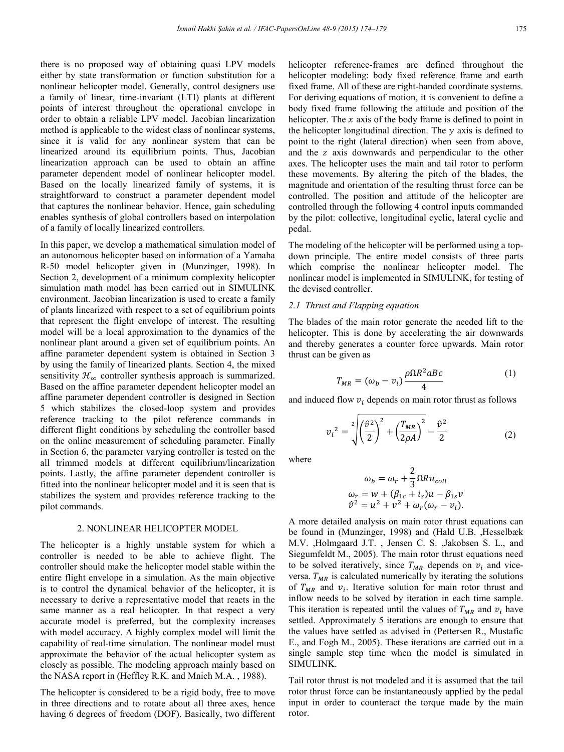there is no proposed way of obtaining quasi LPV models either by state transformation or function substitution for a nonlinear helicopter model. Generally, control designers use a family of linear, time-invariant (LTI) plants at different points of interest throughout the operational envelope in order to obtain a reliable LPV model. Jacobian linearization method is applicable to the widest class of nonlinear systems. since it is valid for any nonlinear system that can be linearized around its equilibrium points. Thus, Jacobian linearization approach can be used to obtain an affine parameter dependent model of nonlinear helicopter model. Based on the locally linearized family of systems, it is straightforward to construct a parameter dependent model that captures the nonlinear behavior. Hence, gain scheduling enables synthesis of global controllers based on interpolation of a family of locally linearized controllers.

In this paper, we develop a mathematical simulation model of an autonomous helicopter based on information of a Yamaha R-50 model helicopter given in (Munzinger, 1998). In Section 2, development of a minimum complexity helicopter simulation math model has been carried out in SIMULINK environment. Jacobian linearization is used to create a family of plants linearized with respect to a set of equilibrium points that represent the flight envelope of interest. The resulting model will be a local approximation to the dynamics of the nonlinear plant around a given set of equilibrium points. An affine parameter dependent system is obtained in Section 3 by using the family of linearized plants. Section 4, the mixed sensitivity  $\mathcal{H}_{\infty}$  controller synthesis approach is summarized. Based on the affine parameter dependent helicopter model an affine parameter dependent controller is designed in Section 5 which stabilizes the closed-loop system and provides reference tracking to the pilot reference commands in different flight conditions by scheduling the controller based on the online measurement of scheduling parameter. Finally in Section 6, the parameter varying controller is tested on the all trimmed models at different equilibrium/linearization points. Lastly, the affine parameter dependent controller is fitted into the nonlinear helicopter model and it is seen that is stabilizes the system and provides reference tracking to the pilot commands.

#### 2. NONLINEAR HELICOPTER MODEL

The helicopter is a highly unstable system for which a controller is needed to be able to achieve flight. The controller should make the helicopter model stable within the entire flight envelope in a simulation. As the main objective is to control the dynamical behavior of the helicopter, it is necessary to derive a representative model that reacts in the same manner as a real helicopter. In that respect a very accurate model is preferred, but the complexity increases with model accuracy. A highly complex model will limit the capability of real-time simulation. The nonlinear model must approximate the behavior of the actual helicopter system as closely as possible. The modeling approach mainly based on the NASA report in (Heffley R.K. and Mnich M.A. , 1988).

The helicopter is considered to be a rigid body, free to move in three directions and to rotate about all three axes, hence having 6 degrees of freedom (DOF). Basically, two different helicopter reference-frames are defined throughout the helicopter modeling: body fixed reference frame and earth fixed frame. All of these are right-handed coordinate systems. For deriving equations of motion, it is convenient to define a body fixed frame following the attitude and position of the helicopter. The  $x$  axis of the body frame is defined to point in the helicopter longitudinal direction. The  $\nu$  axis is defined to point to the right (lateral direction) when seen from above, and the z axis downwards and perpendicular to the other axes. The helicopter uses the main and tail rotor to perform these movements. By altering the pitch of the blades, the magnitude and orientation of the resulting thrust force can be controlled. The position and attitude of the helicopter are controlled through the following 4 control inputs commanded by the pilot: collective, longitudinal cyclic, lateral cyclic and pedal.

The modeling of the helicopter will be performed using a topdown principle. The entire model consists of three parts which comprise the nonlinear helicopter model. The nonlinear model is implemented in SIMULINK, for testing of the devised controller.

### *2.1 Thrust and Flapping equation*

The blades of the main rotor generate the needed lift to the helicopter. This is done by accelerating the air downwards and thereby generates a counter force upwards. Main rotor thrust can be given as

$$
T_{MR} = (\omega_b - v_i) \frac{\rho \Omega R^2 a B c}{4} \tag{1}
$$

and induced flow  $v_i$  depends on main rotor thrust as follows

$$
v_i^2 = \sqrt[2]{\left(\frac{\hat{v}^2}{2}\right)^2 + \left(\frac{T_{MR}}{2\rho A}\right)^2} - \frac{\hat{v}^2}{2}
$$
 (2)

where

$$
\omega_b = \omega_r + \frac{2}{3} \Omega R u_{coll}
$$
  
\n
$$
\omega_r = w + (\beta_{1c} + i_s)u - \beta_{1s}v
$$
  
\n
$$
\hat{v}^2 = u^2 + v^2 + \omega_r(\omega_r - v_i).
$$

A more detailed analysis on main rotor thrust equations can be found in (Munzinger, 1998) and (Hald U.B. ,Hesselbæk M.V. ,Holmgaard J.T. , Jensen C. S. ,Jakobsen S. L., and Siegumfeldt M., 2005). The main rotor thrust equations need to be solved iteratively, since  $T_{MR}$  depends on  $v_i$  and viceversa.  $T_{MR}$  is calculated numerically by iterating the solutions of  $T_{MR}$  and  $v_i$ . Iterative solution for main rotor thrust and inflow needs to be solved by iteration in each time sample. This iteration is repeated until the values of  $T_{MR}$  and  $v_i$  have settled. Approximately 5 iterations are enough to ensure that the values have settled as advised in (Pettersen R., Mustafic E., and Fogh M., 2005). These iterations are carried out in a single sample step time when the model is simulated in SIMULINK.

Tail rotor thrust is not modeled and it is assumed that the tail rotor thrust force can be instantaneously applied by the pedal input in order to counteract the torque made by the main rotor.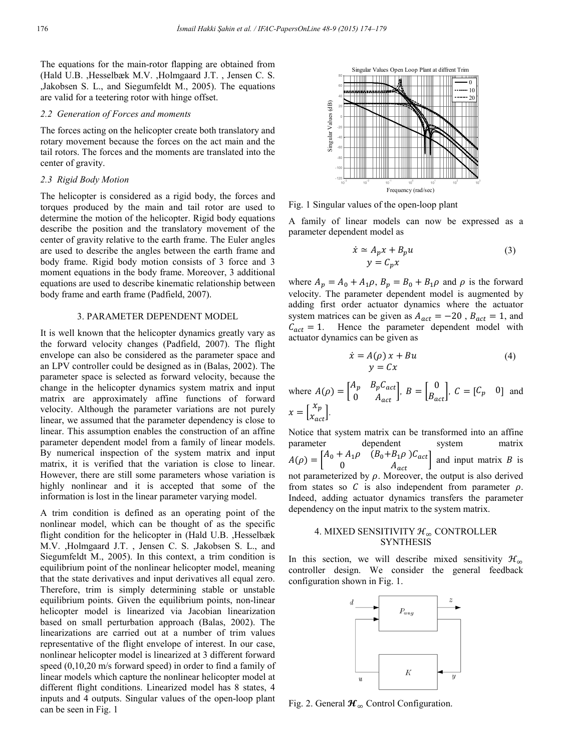The equations for the main-rotor flapping are obtained from (Hald U.B. ,Hesselbæk M.V. ,Holmgaard J.T. , Jensen C. S. ,Jakobsen S. L., and Siegumfeldt M., 2005). The equations are valid for a teetering rotor with hinge offset.

# *2.2 Generation of Forces and moments*

The forces acting on the helicopter create both translatory and rotary movement because the forces on the act main and the tail rotors. The forces and the moments are translated into the center of gravity.

## *2.3 Rigid Body Motion*

The helicopter is considered as a rigid body, the forces and torques produced by the main and tail rotor are used to determine the motion of the helicopter. Rigid body equations describe the position and the translatory movement of the center of gravity relative to the earth frame. The Euler angles are used to describe the angles between the earth frame and body frame. Rigid body motion consists of 3 force and 3 moment equations in the body frame. Moreover, 3 additional equations are used to describe kinematic relationship between body frame and earth frame (Padfield, 2007).

## 3. PARAMETER DEPENDENT MODEL

It is well known that the helicopter dynamics greatly vary as the forward velocity changes (Padfield, 2007). The flight envelope can also be considered as the parameter space and an LPV controller could be designed as in (Balas, 2002). The parameter space is selected as forward velocity, because the change in the helicopter dynamics system matrix and input matrix are approximately affine functions of forward velocity. Although the parameter variations are not purely linear, we assumed that the parameter dependency is close to linear. This assumption enables the construction of an affine parameter dependent model from a family of linear models. By numerical inspection of the system matrix and input matrix, it is verified that the variation is close to linear. However, there are still some parameters whose variation is highly nonlinear and it is accepted that some of the information is lost in the linear parameter varying model.

A trim condition is defined as an operating point of the nonlinear model, which can be thought of as the specific flight condition for the helicopter in (Hald U.B. ,Hesselbæk M.V. ,Holmgaard J.T. , Jensen C. S. ,Jakobsen S. L., and Siegumfeldt M., 2005). In this context, a trim condition is equilibrium point of the nonlinear helicopter model, meaning that the state derivatives and input derivatives all equal zero. Therefore, trim is simply determining stable or unstable equilibrium points. Given the equilibrium points, non-linear helicopter model is linearized via Jacobian linearization based on small perturbation approach (Balas, 2002). The linearizations are carried out at a number of trim values representative of the flight envelope of interest. In our case, nonlinear helicopter model is linearized at 3 different forward speed (0,10,20 m/s forward speed) in order to find a family of linear models which capture the nonlinear helicopter model at different flight conditions. Linearized model has 8 states, 4 inputs and 4 outputs. Singular values of the open-loop plant can be seen in Fig. 1



Fig. 1 Singular values of the open-loop plant

A family of linear models can now be expressed as a parameter dependent model as

$$
\dot{x} \simeq A_p x + B_p u
$$
  
\n
$$
y = C_p x
$$
\n(3)

where  $A_p = A_0 + A_1 \rho$ ,  $B_p = B_0 + B_1 \rho$  and  $\rho$  is the forward velocity. The parameter dependent model is augmented by adding first order actuator dynamics where the actuator system matrices can be given as  $A_{act} = -20$ ,  $B_{act} = 1$ , and  $C_{act} = 1$ . Hence the parameter dependent model with actuator dynamics can be given as

$$
\begin{aligned} \dot{x} &= A(\rho) \, x + Bu \\ y &= Cx \end{aligned} \tag{4}
$$

where 
$$
A(\rho) = \begin{bmatrix} A_p & B_p C_{act} \\ 0 & A_{act} \end{bmatrix}
$$
,  $B = \begin{bmatrix} 0 \\ B_{act} \end{bmatrix}$ ,  $C = \begin{bmatrix} C_p & 0 \end{bmatrix}$  and  $x = \begin{bmatrix} x_p \\ x_{act} \end{bmatrix}$ .

Notice that system matrix can be transformed into an affine parameter dependent system matrix  $A(\rho) = \begin{bmatrix} A_0 + A_1 \rho & (B_0 + B_1 \rho) C_{act} \\ 0 & A \end{bmatrix}$  $\begin{bmatrix} 0 & B_1P & 0 & 0 \ 0 & A_{act} \end{bmatrix}$  and input matrix B is not parameterized by  $\rho$ . Moreover, the output is also derived from states so  $C$  is also independent from parameter  $\rho$ . Indeed, adding actuator dynamics transfers the parameter dependency on the input matrix to the system matrix.

### 4. MIXED SENSITIVITY  $\mathcal{H}_{\infty}$  CONTROLLER **SYNTHESIS**

In this section, we will describe mixed sensitivity  $\mathcal{H}_{\infty}$ controller design. We consider the general feedback configuration shown in Fig. 1.



Fig. 2. General  $\mathcal{H}_{\infty}$  Control Configuration.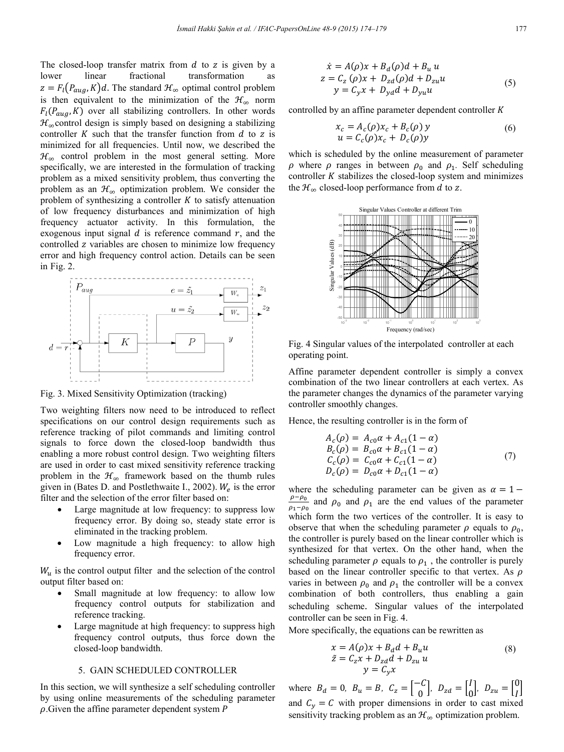The closed-loop transfer matrix from  $d$  to  $z$  is given by a lower linear fractional transformation as transformation as  $z = F_l(P_{aug}, K)d$ . The standard  $\mathcal{H}_{\infty}$  optimal control problem is then equivalent to the minimization of the  $\mathcal{H}_{\infty}$  norm  $F_l(P_{aug}, K)$  over all stabilizing controllers. In other words  $\mathcal{H}_{\infty}$  control design is simply based on designing a stabilizing controller  $K$  such that the transfer function from  $d$  to  $z$  is minimized for all frequencies. Until now, we described the  $\mathcal{H}_{\infty}$  control problem in the most general setting. More specifically, we are interested in the formulation of tracking problem as a mixed sensitivity problem, thus converting the problem as an  $\mathcal{H}_{\infty}$  optimization problem. We consider the problem of synthesizing a controller  $K$  to satisfy attenuation of low frequency disturbances and minimization of high frequency actuator activity. In this formulation, the exogenous input signal  $d$  is reference command  $r$ , and the controlled z variables are chosen to minimize low frequency error and high frequency control action. Details can be seen in Fig. 2.



Fig. 3. Mixed Sensitivity Optimization (tracking)

Two weighting filters now need to be introduced to reflect specifications on our control design requirements such as reference tracking of pilot commands and limiting control signals to force down the closed-loop bandwidth thus enabling a more robust control design. Two weighting filters are used in order to cast mixed sensitivity reference tracking problem in the  $\mathcal{H}_{\infty}$  framework based on the thumb rules given in (Bates D. and Postlethwaite I., 2002).  $W_e$  is the error filter and the selection of the error filter based on:

- Large magnitude at low frequency: to suppress low frequency error. By doing so, steady state error is eliminated in the tracking problem.
- Low magnitude a high frequency: to allow high frequency error.

 $W<sub>u</sub>$  is the control output filter and the selection of the control output filter based on:

- Small magnitude at low frequency: to allow low frequency control outputs for stabilization and reference tracking.
- Large magnitude at high frequency: to suppress high frequency control outputs, thus force down the closed-loop bandwidth.

### 5. GAIN SCHEDULED CONTROLLER

In this section, we will synthesize a self scheduling controller by using online measurements of the scheduling parameter  $\rho$ . Given the affine parameter dependent system  $P$ 

$$
\begin{aligned}\n\dot{x} &= A(\rho)x + B_d(\rho)d + B_u u \\
z &= C_z(\rho)x + D_{zd}(\rho)d + D_{zu}u \\
y &= C_y x + D_{yd}d + D_{yu}u\n\end{aligned} \tag{5}
$$

controlled by an affine parameter dependent controller  $K$ 

$$
x_c = A_c(\rho)x_c + B_c(\rho) y
$$
  
 
$$
u = C_c(\rho)x_c + D_c(\rho)y
$$
 (6)

which is scheduled by the online measurement of parameter  $\rho$  where  $\rho$  ranges in between  $\rho_0$  and  $\rho_1$ . Self scheduling controller  $K$  stabilizes the closed-loop system and minimizes the  $\mathcal{H}_{\infty}$  closed-loop performance from d to z.



Fig. 4 Singular values of the interpolated controller at each operating point.

Affine parameter dependent controller is simply a convex combination of the two linear controllers at each vertex. As the parameter changes the dynamics of the parameter varying controller smoothly changes.

Hence, the resulting controller is in the form of

$$
A_c(\rho) = A_{c0}\alpha + A_{c1}(1 - \alpha)
$$
  
\n
$$
B_c(\rho) = B_{c0}\alpha + B_{c1}(1 - \alpha)
$$
  
\n
$$
C_c(\rho) = C_{c0}\alpha + C_{c1}(1 - \alpha)
$$
  
\n
$$
D_c(\rho) = D_{c0}\alpha + D_{c1}(1 - \alpha)
$$
\n(7)

where the scheduling parameter can be given as  $\alpha = 1 - \frac{\rho - \rho_0}{\rho_1 - \rho_0}$  and  $\rho_0$  and  $\rho_1$  are the end values of the parameter  $\rho_1-\rho_0$ which form the two vertices of the controller. It is easy to observe that when the scheduling parameter  $\rho$  equals to  $\rho_0$ , the controller is purely based on the linear controller which is synthesized for that vertex. On the other hand, when the scheduling parameter  $\rho$  equals to  $\rho_1$ , the controller is purely based on the linear controller specific to that vertex. As  $\rho$ varies in between  $\rho_0$  and  $\rho_1$  the controller will be a convex combination of both controllers, thus enabling a gain scheduling scheme. Singular values of the interpolated controller can be seen in Fig. 4.

More specifically, the equations can be rewritten as

$$
x = A(\rho)x + B_d d + B_u u
$$
  
\n
$$
\tilde{z} = C_z x + D_{zd} d + D_{zu} u
$$
  
\n
$$
y = C_y x
$$
\n(8)

where  $B_d = 0$ ,  $B_u = B$ ,  $C_z = \begin{bmatrix} -C \\ 0 \end{bmatrix}$ ,  $D_{zd} = \begin{bmatrix} I \\ C \end{bmatrix}$  $\begin{bmatrix} I \\ 0 \end{bmatrix}$ ,  $D_{zu} = \begin{bmatrix} 0 \\ I \end{bmatrix}$  $\check{I}$ and  $C_v = C$  with proper dimensions in order to cast mixed sensitivity tracking problem as an  $\mathcal{H}_{\infty}$  optimization problem.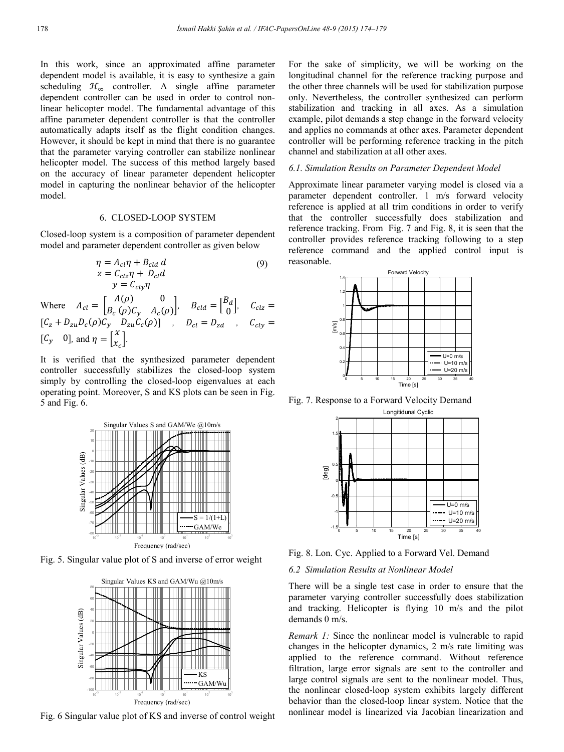In this work, since an approximated affine parameter dependent model is available, it is easy to synthesize a gain scheduling  $\mathcal{H}_{\infty}$  controller. A single affine parameter dependent controller can be used in order to control nonlinear helicopter model. The fundamental advantage of this affine parameter dependent controller is that the controller automatically adapts itself as the flight condition changes. However, it should be kept in mind that there is no guarantee that the parameter varying controller can stabilize nonlinear helicopter model. The success of this method largely based on the accuracy of linear parameter dependent helicopter model in capturing the nonlinear behavior of the helicopter model.

## 6. CLOSED-LOOP SYSTEM

Closed-loop system is a composition of parameter dependent model and parameter dependent controller as given below

$$
\eta = A_{cl}\eta + B_{cld} d \qquad (9)
$$
  
\n
$$
z = C_{clz}\eta + D_{cl}d
$$
  
\n
$$
y = C_{cly}\eta
$$
  
\nWhere  $A_{cl} = \begin{bmatrix} A(\rho) & 0 \\ B_c(\rho)C_y & A_c(\rho) \end{bmatrix}, B_{cld} = \begin{bmatrix} B_d \\ 0 \end{bmatrix}, C_{clz} = [C_z + D_{zu}D_c(\rho)C_y & D_{zu}C_c(\rho)] , D_{cl} = D_{zd} , C_{cly} = [C_y \quad 0], \text{ and } \eta = \begin{bmatrix} x \\ x_c \end{bmatrix}.$ 

It is verified that the synthesized parameter dependent controller successfully stabilizes the closed-loop system simply by controlling the closed-loop eigenvalues at each operating point. Moreover, S and KS plots can be seen in Fig. 5 and Fig. 6.



Fig. 5. Singular value plot of S and inverse of error weight



Fig. 6 Singular value plot of KS and inverse of control weight

For the sake of simplicity, we will be working on the longitudinal channel for the reference tracking purpose and the other three channels will be used for stabilization purpose only. Nevertheless, the controller synthesized can perform stabilization and tracking in all axes. As a simulation example, pilot demands a step change in the forward velocity and applies no commands at other axes. Parameter dependent controller will be performing reference tracking in the pitch channel and stabilization at all other axes.

## *6.1. Simulation Results on Parameter Dependent Model*

Approximate linear parameter varying model is closed via a parameter dependent controller. 1 m/s forward velocity reference is applied at all trim conditions in order to verify that the controller successfully does stabilization and reference tracking. From Fig. 7 and Fig. 8, it is seen that the controller provides reference tracking following to a step reference command and the applied control input is reasonable.



Fig. 7. Response to a Forward Velocity Demand



Fig. 8. Lon. Cyc. Applied to a Forward Vel. Demand

# *6.2 Simulation Results at Nonlinear Model*

There will be a single test case in order to ensure that the parameter varying controller successfully does stabilization and tracking. Helicopter is flying 10 m/s and the pilot demands 0 m/s.

*Remark 1:* Since the nonlinear model is vulnerable to rapid changes in the helicopter dynamics, 2 m/s rate limiting was applied to the reference command. Without reference filtration, large error signals are sent to the controller and large control signals are sent to the nonlinear model. Thus, the nonlinear closed-loop system exhibits largely different behavior than the closed-loop linear system. Notice that the nonlinear model is linearized via Jacobian linearization and